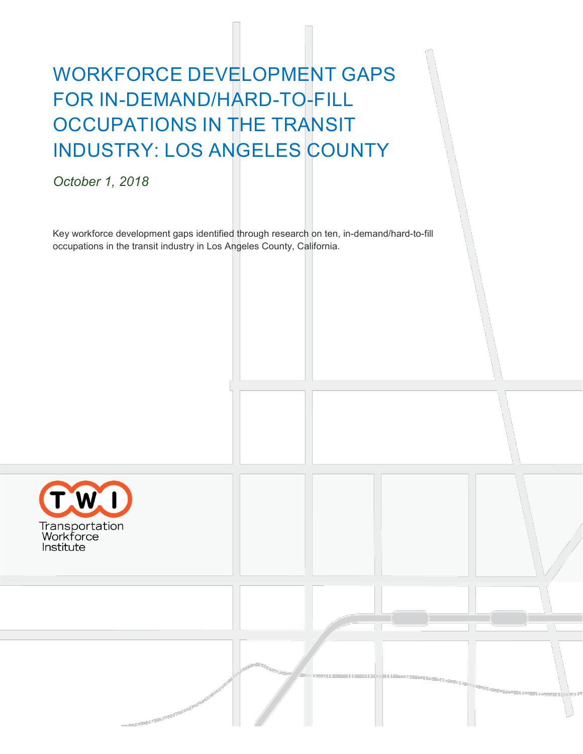# WORKFORCE DEVELOPMENT GAPS FOR IN-DEMAND/HARD-TO-FILL OCCUPATIONS IN THE TRANSIT INDUSTRY: LOS ANGELES COUNTY

*October 1, 2018*

Key workforce development gaps identified through research on ten, in-demand/hard-to-fill occupations in the transit industry in Los Angeles County, California.

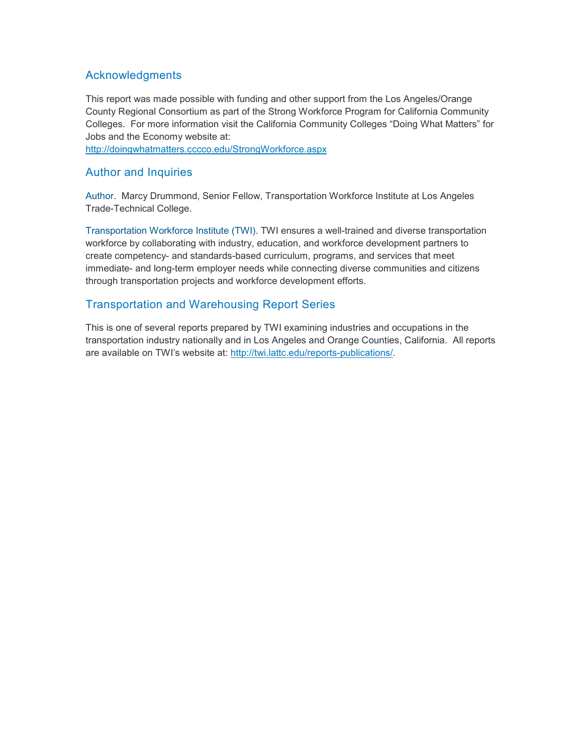### **Acknowledgments**

This report was made possible with funding and other support from the Los Angeles/Orange County Regional Consortium as part of the Strong Workforce Program for California Community Colleges. For more information visit the California Community Colleges "Doing What Matters" for Jobs and the Economy website at:

<http://doingwhatmatters.cccco.edu/StrongWorkforce.aspx>

#### Author and Inquiries

Author. Marcy Drummond, Senior Fellow, Transportation Workforce Institute at Los Angeles Trade-Technical College.

Transportation Workforce Institute (TWI). TWI ensures a well-trained and diverse transportation workforce by collaborating with industry, education, and workforce development partners to create competency- and standards-based curriculum, programs, and services that meet immediate- and long-term employer needs while connecting diverse communities and citizens through transportation projects and workforce development efforts.

#### Transportation and Warehousing Report Series

This is one of several reports prepared by TWI examining industries and occupations in the transportation industry nationally and in Los Angeles and Orange Counties, California. All reports are available on TWI's website at: [http://twi.lattc.edu/reports-publications/.](http://twi.lattc.edu/reports-publications/)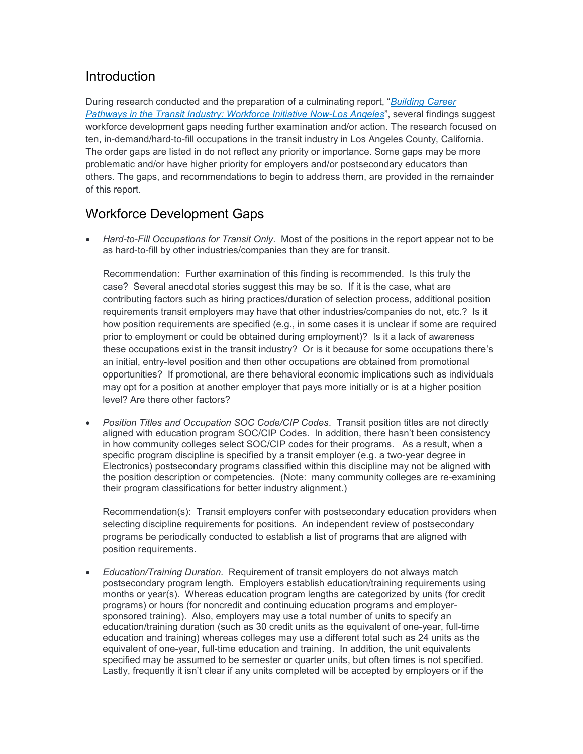## **Introduction**

During research conducted and the preparation of a culminating report, "*[Building Career](http://twi.lattc.edu/wp-content/uploads/2018/12/WIN-LA-Report_FINAL_12072018.pdf)  [Pathways in the Transit Industry: Workforce Initiative Now-Los Angeles](http://twi.lattc.edu/wp-content/uploads/2018/12/WIN-LA-Report_FINAL_12072018.pdf)*", several findings suggest workforce development gaps needing further examination and/or action. The research focused on ten, in-demand/hard-to-fill occupations in the transit industry in Los Angeles County, California. The order gaps are listed in do not reflect any priority or importance. Some gaps may be more problematic and/or have higher priority for employers and/or postsecondary educators than others. The gaps, and recommendations to begin to address them, are provided in the remainder of this report.

## Workforce Development Gaps

• *Hard-to-Fill Occupations for Transit Only*. Most of the positions in the report appear not to be as hard-to-fill by other industries/companies than they are for transit.

Recommendation: Further examination of this finding is recommended. Is this truly the case? Several anecdotal stories suggest this may be so. If it is the case, what are contributing factors such as hiring practices/duration of selection process, additional position requirements transit employers may have that other industries/companies do not, etc.? Is it how position requirements are specified (e.g., in some cases it is unclear if some are required prior to employment or could be obtained during employment)? Is it a lack of awareness these occupations exist in the transit industry? Or is it because for some occupations there's an initial, entry-level position and then other occupations are obtained from promotional opportunities? If promotional, are there behavioral economic implications such as individuals may opt for a position at another employer that pays more initially or is at a higher position level? Are there other factors?

• *Position Titles and Occupation SOC Code/CIP Codes*. Transit position titles are not directly aligned with education program SOC/CIP Codes. In addition, there hasn't been consistency in how community colleges select SOC/CIP codes for their programs. As a result, when a specific program discipline is specified by a transit employer (e.g. a two-year degree in Electronics) postsecondary programs classified within this discipline may not be aligned with the position description or competencies. (Note: many community colleges are re-examining their program classifications for better industry alignment.)

Recommendation(s): Transit employers confer with postsecondary education providers when selecting discipline requirements for positions. An independent review of postsecondary programs be periodically conducted to establish a list of programs that are aligned with position requirements.

• *Education/Training Duration*. Requirement of transit employers do not always match postsecondary program length. Employers establish education/training requirements using months or year(s). Whereas education program lengths are categorized by units (for credit programs) or hours (for noncredit and continuing education programs and employersponsored training). Also, employers may use a total number of units to specify an education/training duration (such as 30 credit units as the equivalent of one-year, full-time education and training) whereas colleges may use a different total such as 24 units as the equivalent of one-year, full-time education and training. In addition, the unit equivalents specified may be assumed to be semester or quarter units, but often times is not specified. Lastly, frequently it isn't clear if any units completed will be accepted by employers or if the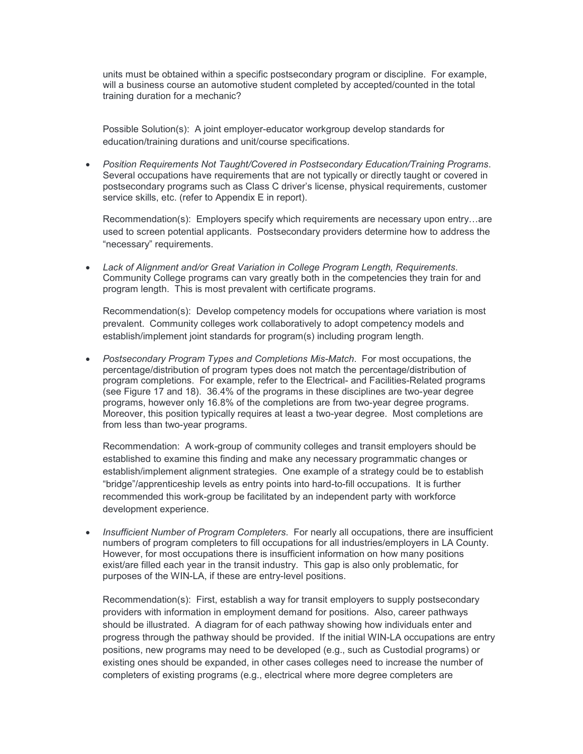units must be obtained within a specific postsecondary program or discipline. For example, will a business course an automotive student completed by accepted/counted in the total training duration for a mechanic?

Possible Solution(s): A joint employer-educator workgroup develop standards for education/training durations and unit/course specifications.

• *Position Requirements Not Taught/Covered in Postsecondary Education/Training Programs*. Several occupations have requirements that are not typically or directly taught or covered in postsecondary programs such as Class C driver's license, physical requirements, customer service skills, etc. (refer to Appendix E in report).

Recommendation(s): Employers specify which requirements are necessary upon entry…are used to screen potential applicants. Postsecondary providers determine how to address the "necessary" requirements.

• *Lack of Alignment and/or Great Variation in College Program Length, Requirements*. Community College programs can vary greatly both in the competencies they train for and program length. This is most prevalent with certificate programs.

Recommendation(s): Develop competency models for occupations where variation is most prevalent. Community colleges work collaboratively to adopt competency models and establish/implement joint standards for program(s) including program length.

• *Postsecondary Program Types and Completions Mis-Match*. For most occupations, the percentage/distribution of program types does not match the percentage/distribution of program completions. For example, refer to the Electrical- and Facilities-Related programs (see Figure 17 and 18). 36.4% of the programs in these disciplines are two-year degree programs, however only 16.8% of the completions are from two-year degree programs. Moreover, this position typically requires at least a two-year degree. Most completions are from less than two-year programs.

Recommendation: A work-group of community colleges and transit employers should be established to examine this finding and make any necessary programmatic changes or establish/implement alignment strategies. One example of a strategy could be to establish "bridge"/apprenticeship levels as entry points into hard-to-fill occupations. It is further recommended this work-group be facilitated by an independent party with workforce development experience.

• *Insufficient Number of Program Completers*. For nearly all occupations, there are insufficient numbers of program completers to fill occupations for all industries/employers in LA County. However, for most occupations there is insufficient information on how many positions exist/are filled each year in the transit industry. This gap is also only problematic, for purposes of the WIN-LA, if these are entry-level positions.

Recommendation(s): First, establish a way for transit employers to supply postsecondary providers with information in employment demand for positions. Also, career pathways should be illustrated. A diagram for of each pathway showing how individuals enter and progress through the pathway should be provided. If the initial WIN-LA occupations are entry positions, new programs may need to be developed (e.g., such as Custodial programs) or existing ones should be expanded, in other cases colleges need to increase the number of completers of existing programs (e.g., electrical where more degree completers are